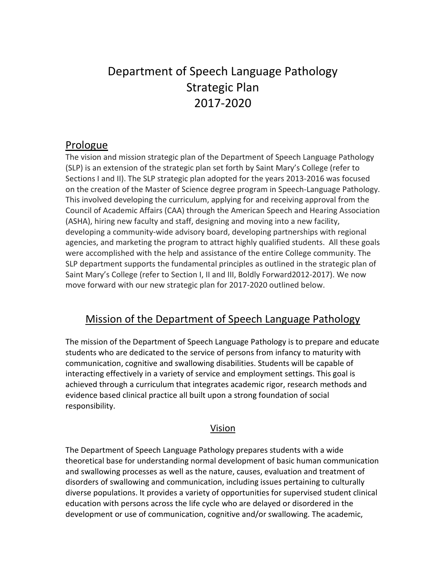# Department of Speech Language Pathology Strategic Plan 2017-2020

## Prologue

The vision and mission strategic plan of the Department of Speech Language Pathology (SLP) is an extension of the strategic plan set forth by Saint Mary's College (refer to Sections I and II). The SLP strategic plan adopted for the years 2013-2016 was focused on the creation of the Master of Science degree program in Speech-Language Pathology. This involved developing the curriculum, applying for and receiving approval from the Council of Academic Affairs (CAA) through the American Speech and Hearing Association (ASHA), hiring new faculty and staff, designing and moving into a new facility, developing a community-wide advisory board, developing partnerships with regional agencies, and marketing the program to attract highly qualified students. All these goals were accomplished with the help and assistance of the entire College community. The SLP department supports the fundamental principles as outlined in the strategic plan of Saint Mary's College (refer to Section I, II and III, Boldly Forward2012-2017). We now move forward with our new strategic plan for 2017-2020 outlined below.

# Mission of the Department of Speech Language Pathology

The mission of the Department of Speech Language Pathology is to prepare and educate students who are dedicated to the service of persons from infancy to maturity with communication, cognitive and swallowing disabilities. Students will be capable of interacting effectively in a variety of service and employment settings. This goal is achieved through a curriculum that integrates academic rigor, research methods and evidence based clinical practice all built upon a strong foundation of social responsibility.

#### Vision

The Department of Speech Language Pathology prepares students with a wide theoretical base for understanding normal development of basic human communication and swallowing processes as well as the nature, causes, evaluation and treatment of disorders of swallowing and communication, including issues pertaining to culturally diverse populations. It provides a variety of opportunities for supervised student clinical education with persons across the life cycle who are delayed or disordered in the development or use of communication, cognitive and/or swallowing. The academic,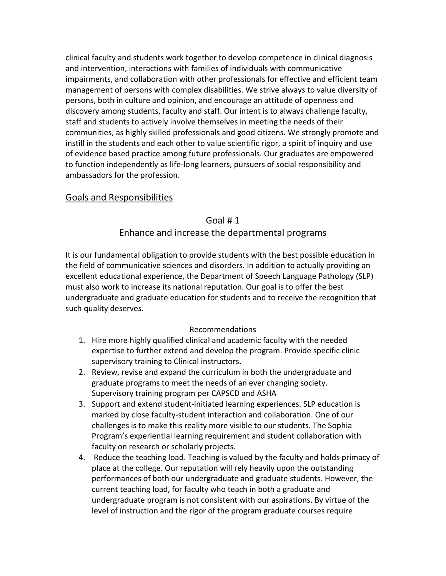clinical faculty and students work together to develop competence in clinical diagnosis and intervention, interactions with families of individuals with communicative impairments, and collaboration with other professionals for effective and efficient team management of persons with complex disabilities. We strive always to value diversity of persons, both in culture and opinion, and encourage an attitude of openness and discovery among students, faculty and staff. Our intent is to always challenge faculty, staff and students to actively involve themselves in meeting the needs of their communities, as highly skilled professionals and good citizens. We strongly promote and instill in the students and each other to value scientific rigor, a spirit of inquiry and use of evidence based practice among future professionals. Our graduates are empowered to function independently as life-long learners, pursuers of social responsibility and ambassadors for the profession.

### Goals and Responsibilities

### Goal # 1

### Enhance and increase the departmental programs

It is our fundamental obligation to provide students with the best possible education in the field of communicative sciences and disorders. In addition to actually providing an excellent educational experience, the Department of Speech Language Pathology (SLP) must also work to increase its national reputation. Our goal is to offer the best undergraduate and graduate education for students and to receive the recognition that such quality deserves.

#### Recommendations

- 1. Hire more highly qualified clinical and academic faculty with the needed expertise to further extend and develop the program. Provide specific clinic supervisory training to Clinical instructors.
- 2. Review, revise and expand the curriculum in both the undergraduate and graduate programs to meet the needs of an ever changing society. Supervisory training program per CAPSCD and ASHA
- 3. Support and extend student-initiated learning experiences. SLP education is marked by close faculty-student interaction and collaboration. One of our challenges is to make this reality more visible to our students. The Sophia Program's experiential learning requirement and student collaboration with faculty on research or scholarly projects.
- 4. Reduce the teaching load. Teaching is valued by the faculty and holds primacy of place at the college. Our reputation will rely heavily upon the outstanding performances of both our undergraduate and graduate students. However, the current teaching load, for faculty who teach in both a graduate and undergraduate program is not consistent with our aspirations. By virtue of the level of instruction and the rigor of the program graduate courses require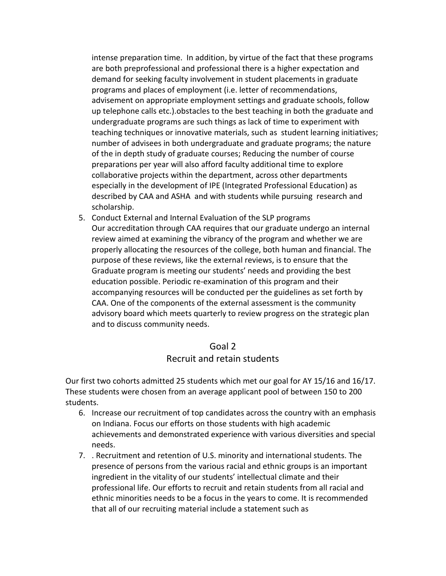intense preparation time. In addition, by virtue of the fact that these programs are both preprofessional and professional there is a higher expectation and demand for seeking faculty involvement in student placements in graduate programs and places of employment (i.e. letter of recommendations, advisement on appropriate employment settings and graduate schools, follow up telephone calls etc.).obstacles to the best teaching in both the graduate and undergraduate programs are such things as lack of time to experiment with teaching techniques or innovative materials, such as student learning initiatives; number of advisees in both undergraduate and graduate programs; the nature of the in depth study of graduate courses; Reducing the number of course preparations per year will also afford faculty additional time to explore collaborative projects within the department, across other departments especially in the development of IPE (Integrated Professional Education) as described by CAA and ASHA and with students while pursuing research and scholarship.

5. Conduct External and Internal Evaluation of the SLP programs Our accreditation through CAA requires that our graduate undergo an internal review aimed at examining the vibrancy of the program and whether we are properly allocating the resources of the college, both human and financial. The purpose of these reviews, like the external reviews, is to ensure that the Graduate program is meeting our students' needs and providing the best education possible. Periodic re-examination of this program and their accompanying resources will be conducted per the guidelines as set forth by CAA. One of the components of the external assessment is the community advisory board which meets quarterly to review progress on the strategic plan and to discuss community needs.

#### Goal 2

#### Recruit and retain students

Our first two cohorts admitted 25 students which met our goal for AY 15/16 and 16/17. These students were chosen from an average applicant pool of between 150 to 200 students.

- 6. Increase our recruitment of top candidates across the country with an emphasis on Indiana. Focus our efforts on those students with high academic achievements and demonstrated experience with various diversities and special needs.
- 7. . Recruitment and retention of U.S. minority and international students. The presence of persons from the various racial and ethnic groups is an important ingredient in the vitality of our students' intellectual climate and their professional life. Our efforts to recruit and retain students from all racial and ethnic minorities needs to be a focus in the years to come. It is recommended that all of our recruiting material include a statement such as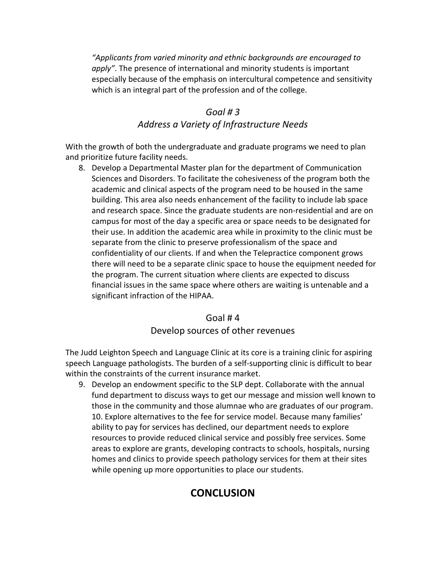*"Applicants from varied minority and ethnic backgrounds are encouraged to apply"*. The presence of international and minority students is important especially because of the emphasis on intercultural competence and sensitivity which is an integral part of the profession and of the college.

#### *Goal # 3*

#### *Address a Variety of Infrastructure Needs*

With the growth of both the undergraduate and graduate programs we need to plan and prioritize future facility needs.

8. Develop a Departmental Master plan for the department of Communication Sciences and Disorders. To facilitate the cohesiveness of the program both the academic and clinical aspects of the program need to be housed in the same building. This area also needs enhancement of the facility to include lab space and research space. Since the graduate students are non-residential and are on campus for most of the day a specific area or space needs to be designated for their use. In addition the academic area while in proximity to the clinic must be separate from the clinic to preserve professionalism of the space and confidentiality of our clients. If and when the Telepractice component grows there will need to be a separate clinic space to house the equipment needed for the program. The current situation where clients are expected to discuss financial issues in the same space where others are waiting is untenable and a significant infraction of the HIPAA.

# Goal # 4 Develop sources of other revenues

The Judd Leighton Speech and Language Clinic at its core is a training clinic for aspiring speech Language pathologists. The burden of a self-supporting clinic is difficult to bear within the constraints of the current insurance market.

9. Develop an endowment specific to the SLP dept. Collaborate with the annual fund department to discuss ways to get our message and mission well known to those in the community and those alumnae who are graduates of our program. 10. Explore alternatives to the fee for service model. Because many families' ability to pay for services has declined, our department needs to explore resources to provide reduced clinical service and possibly free services. Some areas to explore are grants, developing contracts to schools, hospitals, nursing homes and clinics to provide speech pathology services for them at their sites while opening up more opportunities to place our students.

# **CONCLUSION**